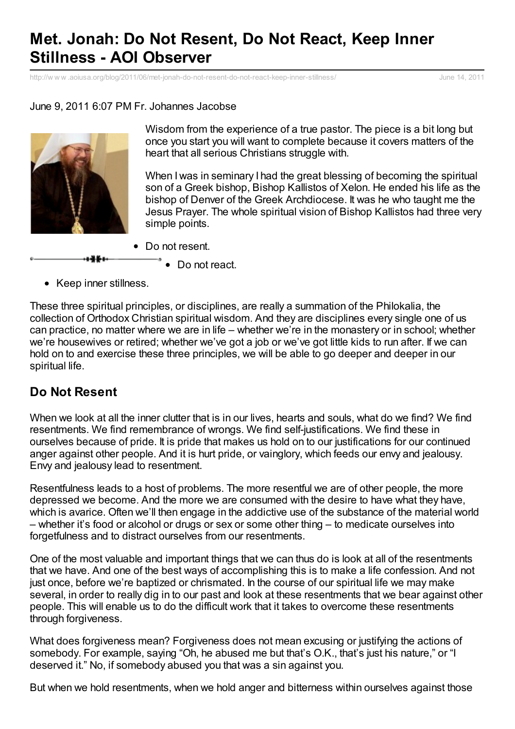# **Met. Jonah: Do Not Resent, Do Not React, Keep Inner Stillness - AOI Observer**

http://w w w [.aoiusa.org/blog/2011/06/met-jonah-do-not-resent-do-not-react-keep-inner-stillness/](http://www.printfriendly.com/print/v2?url=http%3A%2F%2Fwww.aoiusa.org%2Fblog%2F2011%2F06%2Fmet-jonah-do-not-resent-do-not-react-keep-inner-stillness%2F) June 14, 2011

#### June 9, 2011 6:07 PM Fr. Johannes Jacobse



Wisdom from the experience of a true pastor. The piece is a bit long but once you start you will want to complete because it covers matters of the heart that all serious Christians struggle with.

When I was in seminary I had the great blessing of becoming the spiritual son of a Greek bishop, Bishop Kallistos of Xelon. He ended his life as the bishop of Denver of the Greek Archdiocese. It was he who taught me the Jesus Prayer. The whole spiritual vision of Bishop Kallistos had three very simple points.

- Do not resent.
	- $\bullet$  Do not react.
- Keep inner stillness.

These three spiritual principles, or disciplines, are really a summation of the Philokalia, the collection of Orthodox Christian spiritual wisdom. And they are disciplines every single one of us can practice, no matter where we are in life – whether we're in the monastery or in school; whether we're housewives or retired; whether we've got a job or we've got little kids to run after. If we can hold on to and exercise these three principles, we will be able to go deeper and deeper in our spiritual life.

#### **Do Not Resent**

When we look at all the inner clutter that is in our lives, hearts and souls, what do we find? We find resentments. We find remembrance of wrongs. We find self-justifications. We find these in ourselves because of pride. It is pride that makes us hold on to our justifications for our continued anger against other people. And it is hurt pride, or vainglory, which feeds our envy and jealousy. Envy and jealousy lead to resentment.

Resentfulness leads to a host of problems. The more resentful we are of other people, the more depressed we become. And the more we are consumed with the desire to have what they have, which is avarice. Often we'll then engage in the addictive use of the substance of the material world – whether it's food or alcohol or drugs or sex or some other thing – to medicate ourselves into forgetfulness and to distract ourselves from our resentments.

One of the most valuable and important things that we can thus do is look at all of the resentments that we have. And one of the best ways of accomplishing this is to make a life confession. And not just once, before we're baptized or chrismated. In the course of our spiritual life we may make several, in order to really dig in to our past and look at these resentments that we bear against other people. This will enable us to do the difficult work that it takes to overcome these resentments through forgiveness.

What does forgiveness mean? Forgiveness does not mean excusing or justifying the actions of somebody. For example, saying "Oh, he abused me but that's O.K., that's just his nature," or "I deserved it." No, if somebody abused you that was a sin against you.

But when we hold resentments, when we hold anger and bitterness within ourselves against those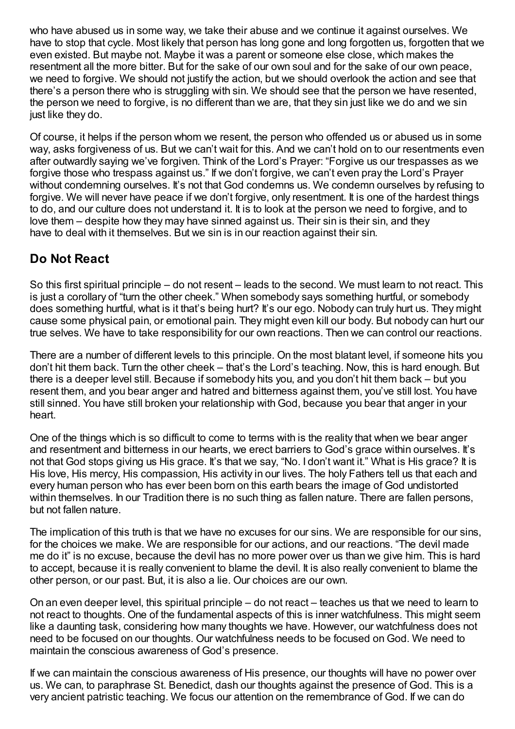who have abused us in some way, we take their abuse and we continue it against ourselves. We have to stop that cycle. Most likely that person has long gone and long forgotten us, forgotten that we even existed. But maybe not. Maybe it was a parent or someone else close, which makes the resentment all the more bitter. But for the sake of our own soul and for the sake of our own peace, we need to forgive. We should not justify the action, but we should overlook the action and see that there's a person there who is struggling with sin. We should see that the person we have resented, the person we need to forgive, is no different than we are, that they sin just like we do and we sin just like they do.

Of course, it helps if the person whom we resent, the person who offended us or abused us in some way, asks forgiveness of us. But we can't wait for this. And we can't hold on to our resentments even after outwardly saying we've forgiven. Think of the Lord's Prayer: "Forgive us our trespasses as we forgive those who trespass against us." If we don't forgive, we can't even pray the Lord's Prayer without condemning ourselves. It's not that God condemns us. We condemn ourselves by refusing to forgive. We will never have peace if we don't forgive, only resentment. It is one of the hardest things to do, and our culture does not understand it. It is to look at the person we need to forgive, and to love them – despite how they may have sinned against us. Their sin is their sin, and they have to deal with it themselves. But we sin is in our reaction against their sin.

# **Do Not React**

So this first spiritual principle – do not resent – leads to the second. We must learn to not react. This is just a corollary of "turn the other cheek." When somebody says something hurtful, or somebody does something hurtful, what is it that's being hurt? It's our ego. Nobody can truly hurt us. They might cause some physical pain, or emotional pain. They might even kill our body. But nobody can hurt our true selves. We have to take responsibility for our own reactions. Then we can control our reactions.

There are a number of different levels to this principle. On the most blatant level, if someone hits you don't hit them back. Turn the other cheek – that's the Lord's teaching. Now, this is hard enough. But there is a deeper level still. Because if somebody hits you, and you don't hit them back – but you resent them, and you bear anger and hatred and bitterness against them, you've still lost. You have still sinned. You have still broken your relationship with God, because you bear that anger in your heart.

One of the things which is so difficult to come to terms with is the reality that when we bear anger and resentment and bitterness in our hearts, we erect barriers to God's grace within ourselves. It's not that God stops giving us His grace. It's that we say, "No. I don't want it." What is His grace? It is His love, His mercy, His compassion, His activity in our lives. The holy Fathers tell us that each and every human person who has ever been born on this earth bears the image of God undistorted within themselves. In our Tradition there is no such thing as fallen nature. There are fallen persons, but not fallen nature.

The implication of this truth is that we have no excuses for our sins. We are responsible for our sins, for the choices we make. We are responsible for our actions, and our reactions. "The devil made me do it" is no excuse, because the devil has no more power over us than we give him. This is hard to accept, because it is really convenient to blame the devil. It is also really convenient to blame the other person, or our past. But, it is also a lie. Our choices are our own.

On an even deeper level, this spiritual principle – do not react – teaches us that we need to learn to not react to thoughts. One of the fundamental aspects of this is inner watchfulness. This might seem like a daunting task, considering how many thoughts we have. However, our watchfulness does not need to be focused on our thoughts. Our watchfulness needs to be focused on God. We need to maintain the conscious awareness of God's presence.

If we can maintain the conscious awareness of His presence, our thoughts will have no power over us. We can, to paraphrase St. Benedict, dash our thoughts against the presence of God. This is a very ancient patristic teaching. We focus our attention on the remembrance of God. If we can do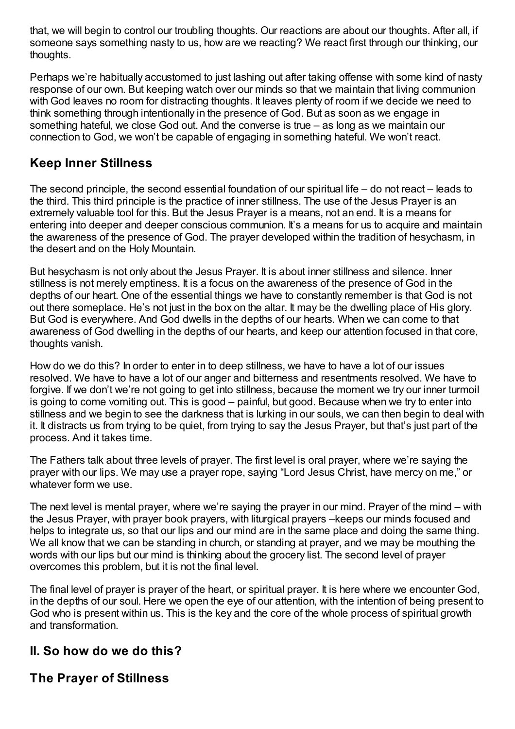that, we will begin to control our troubling thoughts. Our reactions are about our thoughts. After all, if someone says something nasty to us, how are we reacting? We react first through our thinking, our thoughts.

Perhaps we're habitually accustomed to just lashing out after taking offense with some kind of nasty response of our own. But keeping watch over our minds so that we maintain that living communion with God leaves no room for distracting thoughts. It leaves plenty of room if we decide we need to think something through intentionally in the presence of God. But as soon as we engage in something hateful, we close God out. And the converse is true – as long as we maintain our connection to God, we won't be capable of engaging in something hateful. We won't react.

### **Keep Inner Stillness**

The second principle, the second essential foundation of our spiritual life – do not react – leads to the third. This third principle is the practice of inner stillness. The use of the Jesus Prayer is an extremely valuable tool for this. But the Jesus Prayer is a means, not an end. It is a means for entering into deeper and deeper conscious communion. It's a means for us to acquire and maintain the awareness of the presence of God. The prayer developed within the tradition of hesychasm, in the desert and on the Holy Mountain.

But hesychasm is not only about the Jesus Prayer. It is about inner stillness and silence. Inner stillness is not merely emptiness. It is a focus on the awareness of the presence of God in the depths of our heart. One of the essential things we have to constantly remember is that God is not out there someplace. He's not just in the box on the altar. It may be the dwelling place of His glory. But God is everywhere. And God dwells in the depths of our hearts. When we can come to that awareness of God dwelling in the depths of our hearts, and keep our attention focused in that core, thoughts vanish.

How do we do this? In order to enter in to deep stillness, we have to have a lot of our issues resolved. We have to have a lot of our anger and bitterness and resentments resolved. We have to forgive. If we don't we're not going to get into stillness, because the moment we try our inner turmoil is going to come vomiting out. This is good – painful, but good. Because when we try to enter into stillness and we begin to see the darkness that is lurking in our souls, we can then begin to deal with it. It distracts us from trying to be quiet, from trying to say the Jesus Prayer, but that's just part of the process. And it takes time.

The Fathers talk about three levels of prayer. The first level is oral prayer, where we're saying the prayer with our lips. We may use a prayer rope, saying "Lord Jesus Christ, have mercy on me," or whatever form we use.

The next level is mental prayer, where we're saying the prayer in our mind. Prayer of the mind – with the Jesus Prayer, with prayer book prayers, with liturgical prayers –keeps our minds focused and helps to integrate us, so that our lips and our mind are in the same place and doing the same thing. We all know that we can be standing in church, or standing at prayer, and we may be mouthing the words with our lips but our mind is thinking about the grocery list. The second level of prayer overcomes this problem, but it is not the final level.

The final level of prayer is prayer of the heart, or spiritual prayer. It is here where we encounter God, in the depths of our soul. Here we open the eye of our attention, with the intention of being present to God who is present within us. This is the key and the core of the whole process of spiritual growth and transformation.

### **II. So how do we do this?**

### **The Prayer of Stillness**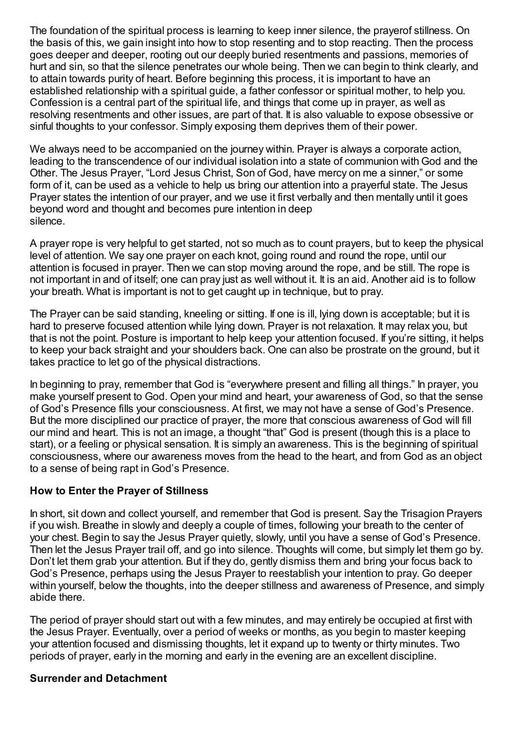The foundation of the spiritual process is learning to keep inner silence, the prayerof stillness. On the basis of this, we gain insight into how to stop resenting and to stop reacting. Then the process goes deeper and deeper, rooting out our deeply buried resentments and passions, memories of hurt and sin, so that the silence penetrates our whole being. Then we can begin to think clearly, and to attain towards purity of heart. Before beginning this process, it is important to have an established relationship with a spiritual guide, a father confessor or spiritual mother, to help you. Confession is a central part of the spiritual life, and things that come up in prayer, as well as resolving resentments and other issues, are part of that. It is also valuable to expose obsessive or sinful thoughts to your confessor. Simply exposing them deprives them of their power.

We always need to be accompanied on the journey within. Prayer is always a corporate action, leading to the transcendence of our individual isolation into a state of communion with God and the Other. The Jesus Prayer, "Lord Jesus Christ, Son of God, have mercy on me a sinner," or some form of it, can be used as a vehicle to help us bring our attention into a prayerful state. The Jesus Prayer states the intention of our prayer, and we use it first verbally and then mentally until it goes beyond word and thought and becomes pure intention in deep silence.

A prayer rope is very helpful to get started, not so much as to count prayers, but to keep the physical level of attention. We say one prayer on each knot, going round and round the rope, until our attention is focused in prayer. Then we can stop moving around the rope, and be still. The rope is not important in and of itself; one can pray just as well without it. It is an aid. Another aid is to follow your breath. What is important is not to get caught up in technique, but to pray.

The Prayer can be said standing, kneeling or sitting. If one is ill, lying down is acceptable; but it is hard to preserve focused attention while lying down. Prayer is not relaxation. It may relax you, but that is not the point. Posture is important to help keep your attention focused. If you're sitting, it helps to keep your back straight and your shoulders back. One can also be prostrate on the ground, but it takes practice to let go of the physical distractions.

In beginning to pray, remember that God is "everywhere present and filling all things." In prayer, you make yourself present to God. Open your mind and heart, your awareness of God, so that the sense of God's Presence fills your consciousness. At first, we may not have a sense of God's Presence. But the more disciplined our practice of prayer, the more that conscious awareness of God will fill our mind and heart. This is not an image, a thought "that" God is present (though this is a place to start), or a feeling or physical sensation. It is simply an awareness. This is the beginning of spiritual consciousness, where our awareness moves from the head to the heart, and from God as an object to a sense of being rapt in God's Presence.

#### **How to Enter the Prayer of Stillness**

In short, sit down and collect yourself, and remember that God is present. Say the Trisagion Prayers if you wish. Breathe in slowly and deeply a couple of times, following your breath to the center of your chest. Begin to say the Jesus Prayer quietly, slowly, until you have a sense of God's Presence. Then let the Jesus Prayer trail off, and go into silence. Thoughts will come, but simply let them go by. Don't let them grab your attention. But if they do, gently dismiss them and bring your focus back to God's Presence, perhaps using the Jesus Prayer to reestablish your intention to pray. Go deeper within yourself, below the thoughts, into the deeper stillness and awareness of Presence, and simply abide there.

The period of prayer should start out with a few minutes, and may entirely be occupied at first with the Jesus Prayer. Eventually, over a period of weeks or months, as you begin to master keeping your attention focused and dismissing thoughts, let it expand up to twenty or thirty minutes. Two periods of prayer, early in the morning and early in the evening are an excellent discipline.

#### **Surrender and Detachment**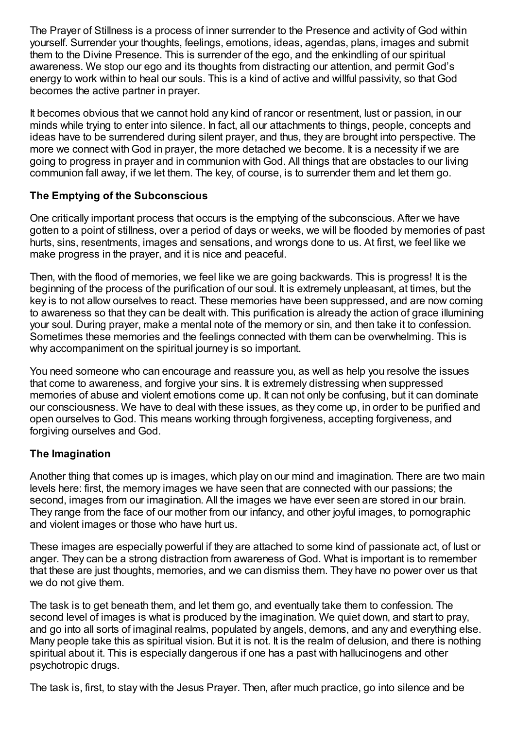The Prayer of Stillness is a process of inner surrender to the Presence and activity of God within yourself. Surrender your thoughts, feelings, emotions, ideas, agendas, plans, images and submit them to the Divine Presence. This is surrender of the ego, and the enkindling of our spiritual awareness. We stop our ego and its thoughts from distracting our attention, and permit God's energy to work within to heal our souls. This is a kind of active and willful passivity, so that God becomes the active partner in prayer.

It becomes obvious that we cannot hold any kind of rancor or resentment, lust or passion, in our minds while trying to enter into silence. In fact, all our attachments to things, people, concepts and ideas have to be surrendered during silent prayer, and thus, they are brought into perspective. The more we connect with God in prayer, the more detached we become. It is a necessity if we are going to progress in prayer and in communion with God. All things that are obstacles to our living communion fall away, if we let them. The key, of course, is to surrender them and let them go.

#### **The Emptying of the Subconscious**

One critically important process that occurs is the emptying of the subconscious. After we have gotten to a point of stillness, over a period of days or weeks, we will be flooded by memories of past hurts, sins, resentments, images and sensations, and wrongs done to us. At first, we feel like we make progress in the prayer, and it is nice and peaceful.

Then, with the flood of memories, we feel like we are going backwards. This is progress! It is the beginning of the process of the purification of our soul. It is extremely unpleasant, at times, but the key is to not allow ourselves to react. These memories have been suppressed, and are now coming to awareness so that they can be dealt with. This purification is already the action of grace illumining your soul. During prayer, make a mental note of the memory or sin, and then take it to confession. Sometimes these memories and the feelings connected with them can be overwhelming. This is why accompaniment on the spiritual journey is so important.

You need someone who can encourage and reassure you, as well as help you resolve the issues that come to awareness, and forgive your sins. It is extremely distressing when suppressed memories of abuse and violent emotions come up. It can not only be confusing, but it can dominate our consciousness. We have to deal with these issues, as they come up, in order to be purified and open ourselves to God. This means working through forgiveness, accepting forgiveness, and forgiving ourselves and God.

#### **The Imagination**

Another thing that comes up is images, which play on our mind and imagination. There are two main levels here: first, the memory images we have seen that are connected with our passions; the second, images from our imagination. All the images we have ever seen are stored in our brain. They range from the face of our mother from our infancy, and other joyful images, to pornographic and violent images or those who have hurt us.

These images are especially powerful if they are attached to some kind of passionate act, of lust or anger. They can be a strong distraction from awareness of God. What is important is to remember that these are just thoughts, memories, and we can dismiss them. They have no power over us that we do not give them.

The task is to get beneath them, and let them go, and eventually take them to confession. The second level of images is what is produced by the imagination. We quiet down, and start to pray, and go into all sorts of imaginal realms, populated by angels, demons, and any and everything else. Many people take this as spiritual vision. But it is not. It is the realm of delusion, and there is nothing spiritual about it. This is especially dangerous if one has a past with hallucinogens and other psychotropic drugs.

The task is, first, to stay with the Jesus Prayer. Then, after much practice, go into silence and be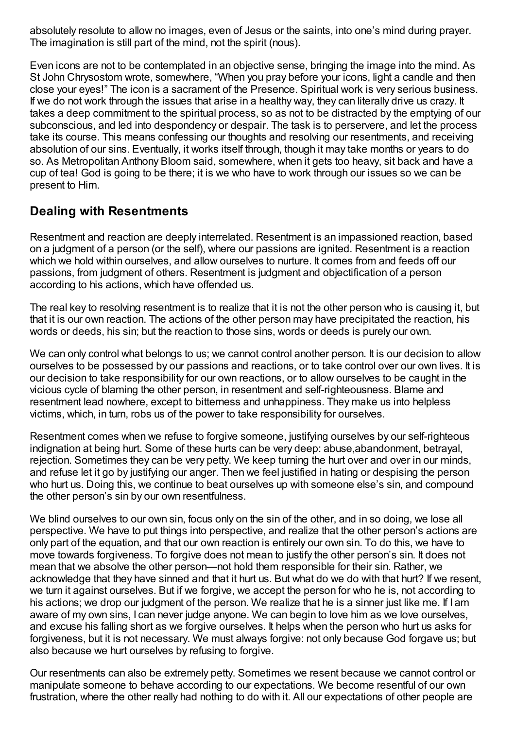absolutely resolute to allow no images, even of Jesus or the saints, into one's mind during prayer. The imagination is still part of the mind, not the spirit (nous).

Even icons are not to be contemplated in an objective sense, bringing the image into the mind. As St John Chrysostom wrote, somewhere, "When you pray before your icons, light a candle and then close your eyes!" The icon is a sacrament of the Presence. Spiritual work is very serious business. If we do not work through the issues that arise in a healthy way, they can literally drive us crazy. It takes a deep commitment to the spiritual process, so as not to be distracted by the emptying of our subconscious, and led into despondency or despair. The task is to perservere, and let the process take its course. This means confessing our thoughts and resolving our resentments, and receiving absolution of our sins. Eventually, it works itself through, though it may take months or years to do so. As Metropolitan Anthony Bloom said, somewhere, when it gets too heavy, sit back and have a cup of tea! God is going to be there; it is we who have to work through our issues so we can be present to Him.

### **Dealing with Resentments**

Resentment and reaction are deeply interrelated. Resentment is an impassioned reaction, based on a judgment of a person (or the self), where our passions are ignited. Resentment is a reaction which we hold within ourselves, and allow ourselves to nurture. It comes from and feeds off our passions, from judgment of others. Resentment is judgment and objectification of a person according to his actions, which have offended us.

The real key to resolving resentment is to realize that it is not the other person who is causing it, but that it is our own reaction. The actions of the other person may have precipitated the reaction, his words or deeds, his sin; but the reaction to those sins, words or deeds is purely our own.

We can only control what belongs to us; we cannot control another person. It is our decision to allow ourselves to be possessed by our passions and reactions, or to take control over our own lives. It is our decision to take responsibility for our own reactions, or to allow ourselves to be caught in the vicious cycle of blaming the other person, in resentment and self-righteousness. Blame and resentment lead nowhere, except to bitterness and unhappiness. They make us into helpless victims, which, in turn, robs us of the power to take responsibility for ourselves.

Resentment comes when we refuse to forgive someone, justifying ourselves by our self-righteous indignation at being hurt. Some of these hurts can be very deep: abuse,abandonment, betrayal, rejection. Sometimes they can be very petty. We keep turning the hurt over and over in our minds, and refuse let it go by justifying our anger. Then we feel justified in hating or despising the person who hurt us. Doing this, we continue to beat ourselves up with someone else's sin, and compound the other person's sin by our own resentfulness.

We blind ourselves to our own sin, focus only on the sin of the other, and in so doing, we lose all perspective. We have to put things into perspective, and realize that the other person's actions are only part of the equation, and that our own reaction is entirely our own sin. To do this, we have to move towards forgiveness. To forgive does not mean to justify the other person's sin. It does not mean that we absolve the other person—not hold them responsible for their sin. Rather, we acknowledge that they have sinned and that it hurt us. But what do we do with that hurt? If we resent, we turn it against ourselves. But if we forgive, we accept the person for who he is, not according to his actions; we drop our judgment of the person. We realize that he is a sinner just like me. If I am aware of my own sins, I can never judge anyone. We can begin to love him as we love ourselves, and excuse his falling short as we forgive ourselves. It helps when the person who hurt us asks for forgiveness, but it is not necessary. We must always forgive: not only because God forgave us; but also because we hurt ourselves by refusing to forgive.

Our resentments can also be extremely petty. Sometimes we resent because we cannot control or manipulate someone to behave according to our expectations. We become resentful of our own frustration, where the other really had nothing to do with it. All our expectations of other people are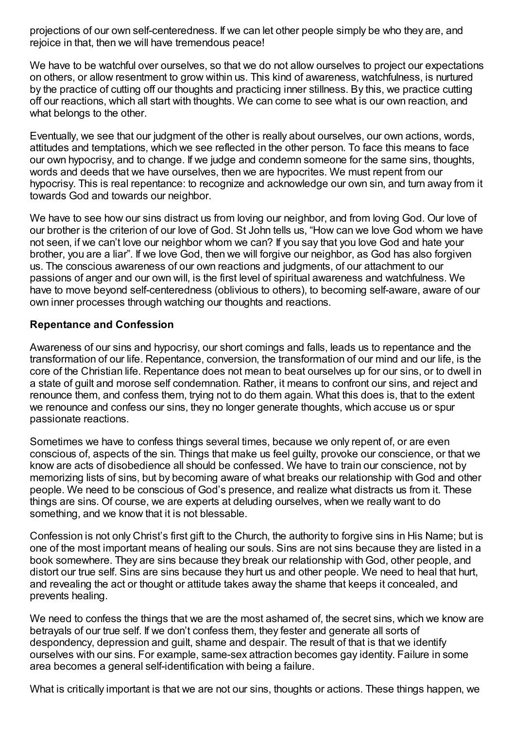projections of our own self-centeredness. If we can let other people simply be who they are, and rejoice in that, then we will have tremendous peace!

We have to be watchful over ourselves, so that we do not allow ourselves to project our expectations on others, or allow resentment to grow within us. This kind of awareness, watchfulness, is nurtured by the practice of cutting off our thoughts and practicing inner stillness. By this, we practice cutting off our reactions, which all start with thoughts. We can come to see what is our own reaction, and what belongs to the other.

Eventually, we see that our judgment of the other is really about ourselves, our own actions, words, attitudes and temptations, which we see reflected in the other person. To face this means to face our own hypocrisy, and to change. If we judge and condemn someone for the same sins, thoughts, words and deeds that we have ourselves, then we are hypocrites. We must repent from our hypocrisy. This is real repentance: to recognize and acknowledge our own sin, and turn away from it towards God and towards our neighbor.

We have to see how our sins distract us from loving our neighbor, and from loving God. Our love of our brother is the criterion of our love of God. St John tells us, "How can we love God whom we have not seen, if we can't love our neighbor whom we can? If you say that you love God and hate your brother, you are a liar". If we love God, then we will forgive our neighbor, as God has also forgiven us. The conscious awareness of our own reactions and judgments, of our attachment to our passions of anger and our own will, is the first level of spiritual awareness and watchfulness. We have to move beyond self-centeredness (oblivious to others), to becoming self-aware, aware of our own inner processes through watching our thoughts and reactions.

#### **Repentance and Confession**

Awareness of our sins and hypocrisy, our short comings and falls, leads us to repentance and the transformation of our life. Repentance, conversion, the transformation of our mind and our life, is the core of the Christian life. Repentance does not mean to beat ourselves up for our sins, or to dwell in a state of guilt and morose self condemnation. Rather, it means to confront our sins, and reject and renounce them, and confess them, trying not to do them again. What this does is, that to the extent we renounce and confess our sins, they no longer generate thoughts, which accuse us or spur passionate reactions.

Sometimes we have to confess things several times, because we only repent of, or are even conscious of, aspects of the sin. Things that make us feel guilty, provoke our conscience, or that we know are acts of disobedience all should be confessed. We have to train our conscience, not by memorizing lists of sins, but by becoming aware of what breaks our relationship with God and other people. We need to be conscious of God's presence, and realize what distracts us from it. These things are sins. Of course, we are experts at deluding ourselves, when we really want to do something, and we know that it is not blessable.

Confession is not only Christ's first gift to the Church, the authority to forgive sins in His Name; but is one of the most important means of healing our souls. Sins are not sins because they are listed in a book somewhere. They are sins because they break our relationship with God, other people, and distort our true self. Sins are sins because they hurt us and other people. We need to heal that hurt, and revealing the act or thought or attitude takes away the shame that keeps it concealed, and prevents healing.

We need to confess the things that we are the most ashamed of, the secret sins, which we know are betrayals of our true self. If we don't confess them, they fester and generate all sorts of despondency, depression and guilt, shame and despair. The result of that is that we identify ourselves with our sins. For example, same-sex attraction becomes gay identity. Failure in some area becomes a general self-identification with being a failure.

What is critically important is that we are not our sins, thoughts or actions. These things happen, we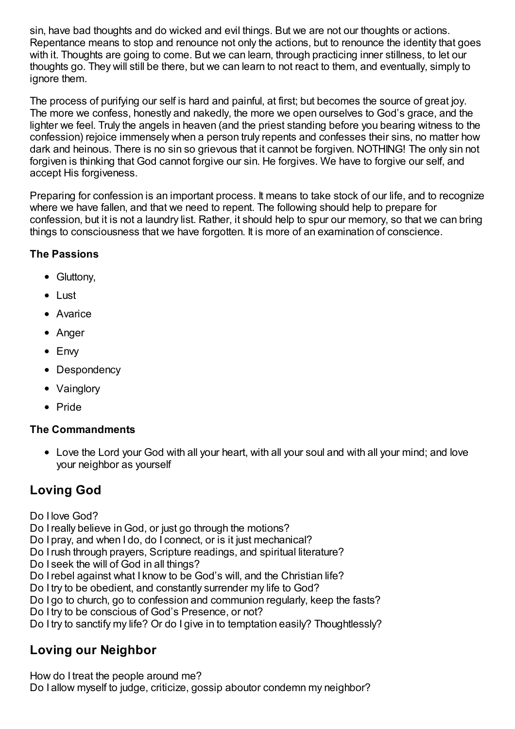sin, have bad thoughts and do wicked and evil things. But we are not our thoughts or actions. Repentance means to stop and renounce not only the actions, but to renounce the identity that goes with it. Thoughts are going to come. But we can learn, through practicing inner stillness, to let our thoughts go. They will still be there, but we can learn to not react to them, and eventually, simply to ignore them.

The process of purifying our self is hard and painful, at first; but becomes the source of great joy. The more we confess, honestly and nakedly, the more we open ourselves to God's grace, and the lighter we feel. Truly the angels in heaven (and the priest standing before you bearing witness to the confession) rejoice immensely when a person truly repents and confesses their sins, no matter how dark and heinous. There is no sin so grievous that it cannot be forgiven. NOTHING! The only sin not forgiven is thinking that God cannot forgive our sin. He forgives. We have to forgive our self, and accept His forgiveness.

Preparing for confession is an important process. It means to take stock of our life, and to recognize where we have fallen, and that we need to repent. The following should help to prepare for confession, but it is not a laundry list. Rather, it should help to spur our memory, so that we can bring things to consciousness that we have forgotten. It is more of an examination of conscience.

#### **The Passions**

- Gluttony,
- Lust
- Avarice
- Anger
- Envy
- Despondency
- Vainglory
- Pride

### **The Commandments**

Love the Lord your God with all your heart, with all your soul and with all your mind; and love your neighbor as yourself

# **Loving God**

- Do I love God?
- Do I really believe in God, or just go through the motions?
- Do I pray, and when I do, do I connect, or is it just mechanical?
- Do Irush through prayers, Scripture readings, and spiritual literature?
- Do I seek the will of God in all things?
- Do Irebel against what I know to be God's will, and the Christian life?
- Do I try to be obedient, and constantly surrender my life to God?
- Do I go to church, go to confession and communion regularly, keep the fasts?
- Do I try to be conscious of God's Presence, or not?
- Do I try to sanctify my life? Or do I give in to temptation easily? Thoughtlessly?

## **Loving our Neighbor**

How do I treat the people around me?

Do I allow myself to judge, criticize, gossip aboutor condemn my neighbor?